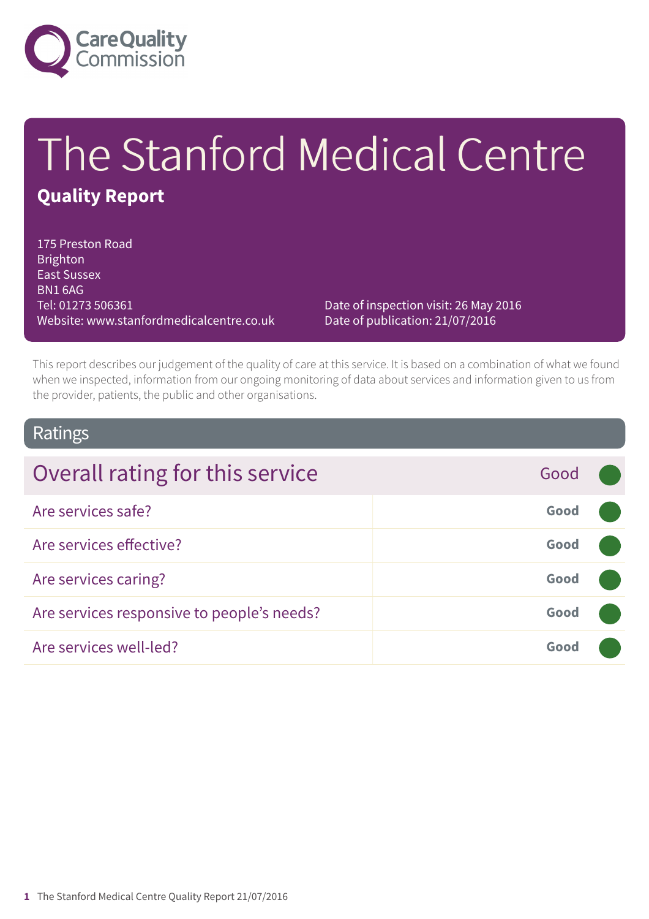

# The Stanford Medical Centre **Quality Report**

175 Preston Road Brighton East Sussex BN1 6AG Tel: 01273 506361 Website: www.stanfordmedicalcentre.co.uk

Date of inspection visit: 26 May 2016 Date of publication: 21/07/2016

This report describes our judgement of the quality of care at this service. It is based on a combination of what we found when we inspected, information from our ongoing monitoring of data about services and information given to us from the provider, patients, the public and other organisations.

### Ratings

| Overall rating for this service            | Good |  |
|--------------------------------------------|------|--|
| Are services safe?                         | Good |  |
| Are services effective?                    | Good |  |
| Are services caring?                       | Good |  |
| Are services responsive to people's needs? | Good |  |
| Are services well-led?                     | Good |  |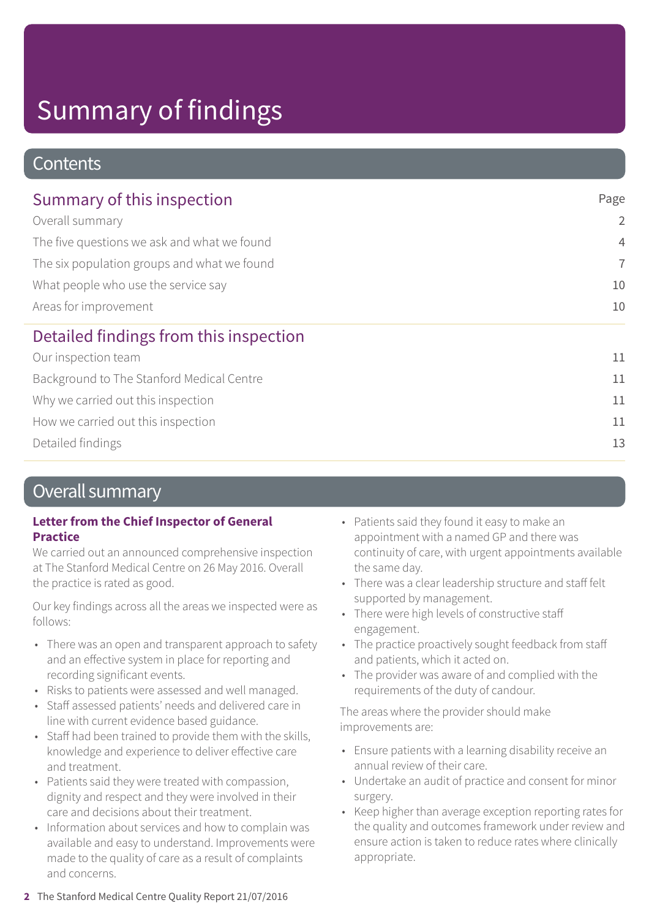### **Contents**

| Summary of this inspection                                                                                                                                                    | Page           |
|-------------------------------------------------------------------------------------------------------------------------------------------------------------------------------|----------------|
| Overall summary<br>The five questions we ask and what we found<br>The six population groups and what we found<br>What people who use the service say<br>Areas for improvement | $\overline{2}$ |
|                                                                                                                                                                               | $\overline{4}$ |
|                                                                                                                                                                               | $\overline{7}$ |
|                                                                                                                                                                               | 10             |
|                                                                                                                                                                               | 10             |
| Detailed findings from this inspection                                                                                                                                        |                |
| Our inspection team                                                                                                                                                           | 11             |
| Background to The Stanford Medical Centre                                                                                                                                     | 11             |
| Why we carried out this inspection                                                                                                                                            | 11             |
| How we carried out this inspection                                                                                                                                            | 11             |
| Detailed findings                                                                                                                                                             | 13             |

### Overall summary

#### **Letter from the Chief Inspector of General Practice**

We carried out an announced comprehensive inspection at The Stanford Medical Centre on 26 May 2016. Overall the practice is rated as good.

Our key findings across all the areas we inspected were as follows:

- There was an open and transparent approach to safety and an effective system in place for reporting and recording significant events.
- Risks to patients were assessed and well managed.
- Staff assessed patients' needs and delivered care in line with current evidence based guidance.
- Staff had been trained to provide them with the skills, knowledge and experience to deliver effective care and treatment.
- Patients said they were treated with compassion, dignity and respect and they were involved in their care and decisions about their treatment.
- Information about services and how to complain was available and easy to understand. Improvements were made to the quality of care as a result of complaints and concerns.
- Patients said they found it easy to make an appointment with a named GP and there was continuity of care, with urgent appointments available the same day.
- There was a clear leadership structure and staff felt supported by management.
- There were high levels of constructive staff engagement.
- The practice proactively sought feedback from staff and patients, which it acted on.
- The provider was aware of and complied with the requirements of the duty of candour.

The areas where the provider should make improvements are:

- Ensure patients with a learning disability receive an annual review of their care.
- Undertake an audit of practice and consent for minor surgery.
- Keep higher than average exception reporting rates for the quality and outcomes framework under review and ensure action is taken to reduce rates where clinically appropriate.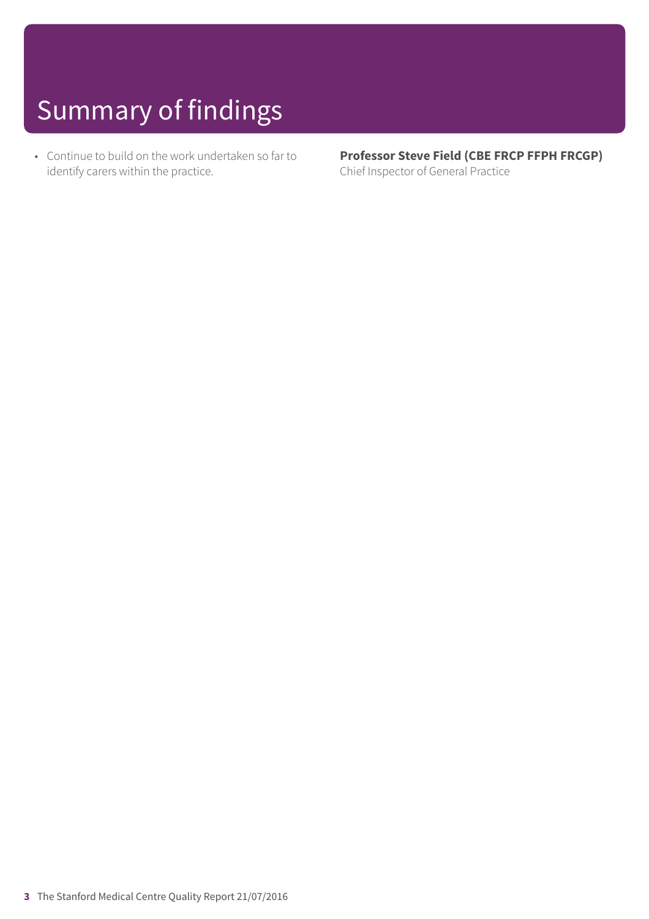• Continue to build on the work undertaken so far to identify carers within the practice.

**Professor Steve Field (CBE FRCP FFPH FRCGP)** Chief Inspector of General Practice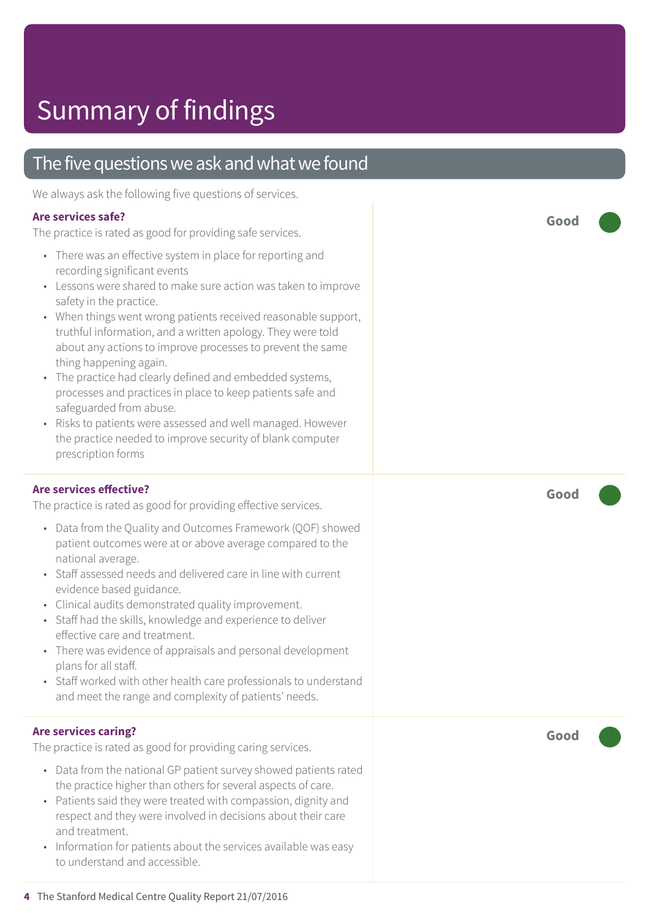### The five questions we ask and what we found

We always ask the following five questions of services.

#### **Are services safe?**

The practice is rated as good for providing safe services.

- There was an effective system in place for reporting and recording significant events
- Lessons were shared to make sure action was taken to improve safety in the practice.
- When things went wrong patients received reasonable support, truthful information, and a written apology. They were told about any actions to improve processes to prevent the same thing happening again.
- The practice had clearly defined and embedded systems, processes and practices in place to keep patients safe and safeguarded from abuse.
- Risks to patients were assessed and well managed. However the practice needed to improve security of blank computer prescription forms

#### **Are services effective?**

The practice is rated as good for providing effective services.

- Data from the Quality and Outcomes Framework (QOF) showed patient outcomes were at or above average compared to the national average.
- Staff assessed needs and delivered care in line with current evidence based guidance.
- Clinical audits demonstrated quality improvement.
- Staff had the skills, knowledge and experience to deliver effective care and treatment.
- There was evidence of appraisals and personal development plans for all staff.
- Staff worked with other health care professionals to understand and meet the range and complexity of patients' needs.

#### **Are services caring?**

The practice is rated as good for providing caring services.

- Data from the national GP patient survey showed patients rated the practice higher than others for several aspects of care.
- Patients said they were treated with compassion, dignity and respect and they were involved in decisions about their care and treatment.
- Information for patients about the services available was easy to understand and accessible.

**Good –––**

**Good –––**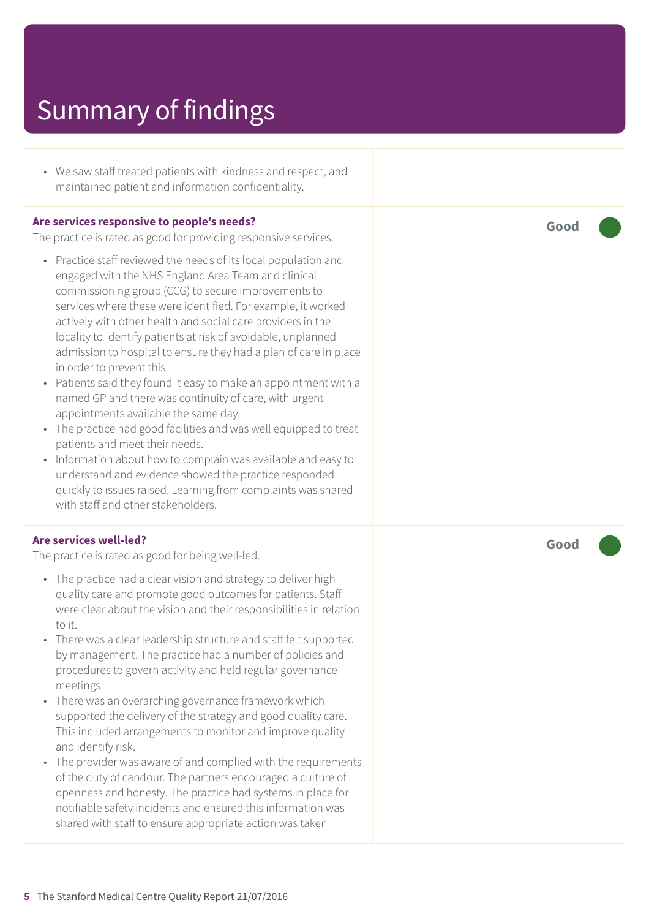• We saw staff treated patients with kindness and respect, and maintained patient and information confidentiality.

#### **Are services responsive to people's needs?**

The practice is rated as good for providing responsive services.

- Practice staff reviewed the needs of its local population and engaged with the NHS England Area Team and clinical commissioning group (CCG) to secure improvements to services where these were identified. For example, it worked actively with other health and social care providers in the locality to identify patients at risk of avoidable, unplanned admission to hospital to ensure they had a plan of care in place in order to prevent this.
- Patients said they found it easy to make an appointment with a named GP and there was continuity of care, with urgent appointments available the same day.
- The practice had good facilities and was well equipped to treat patients and meet their needs.
- Information about how to complain was available and easy to understand and evidence showed the practice responded quickly to issues raised. Learning from complaints was shared with staff and other stakeholders.

#### **Are services well-led?**

The practice is rated as good for being well-led.

- The practice had a clear vision and strategy to deliver high quality care and promote good outcomes for patients. Staff were clear about the vision and their responsibilities in relation to it.
- There was a clear leadership structure and staff felt supported by management. The practice had a number of policies and procedures to govern activity and held regular governance meetings.
- There was an overarching governance framework which supported the delivery of the strategy and good quality care. This included arrangements to monitor and improve quality and identify risk.
- The provider was aware of and complied with the requirements of the duty of candour. The partners encouraged a culture of openness and honesty. The practice had systems in place for notifiable safety incidents and ensured this information was shared with staff to ensure appropriate action was taken

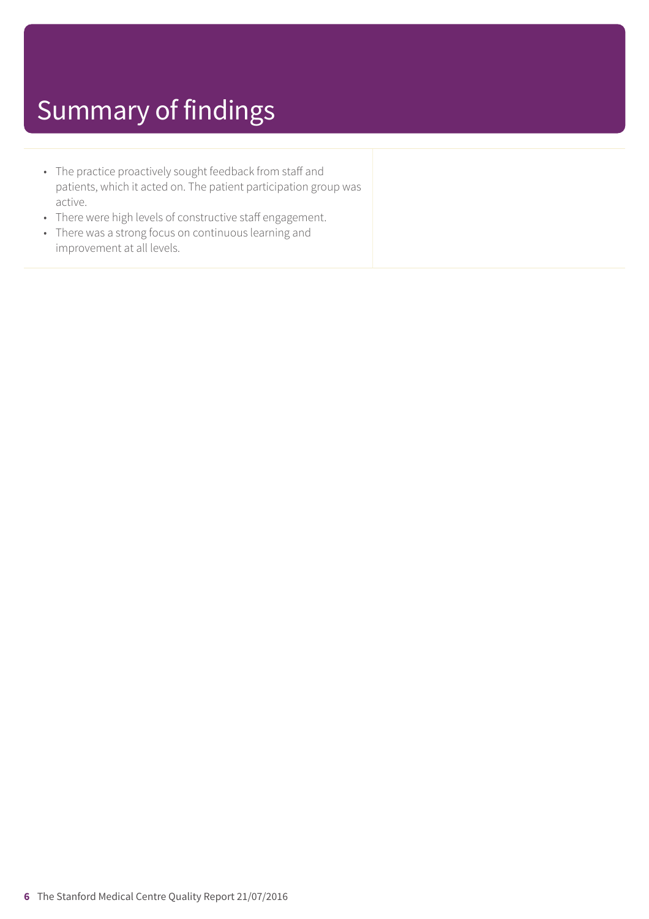- The practice proactively sought feedback from staff and patients, which it acted on. The patient participation group was active.
- There were high levels of constructive staff engagement.
- There was a strong focus on continuous learning and improvement at all levels.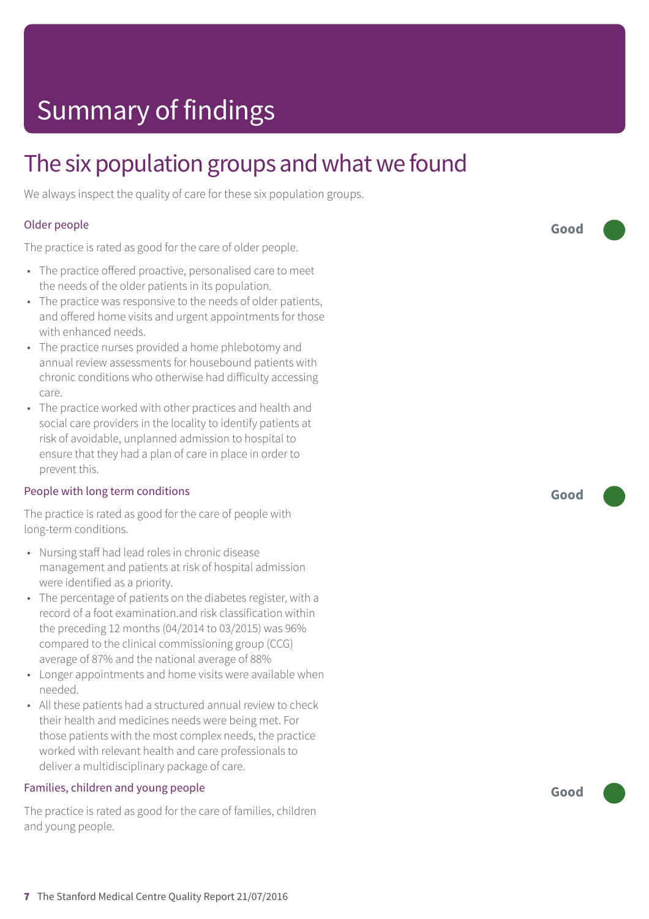### The six population groups and what we found

We always inspect the quality of care for these six population groups.

#### Older people

The practice is rated as good for the care of older people.

- The practice offered proactive, personalised care to meet the needs of the older patients in its population.
- The practice was responsive to the needs of older patients, and offered home visits and urgent appointments for those with enhanced needs.
- The practice nurses provided a home phlebotomy and annual review assessments for housebound patients with chronic conditions who otherwise had difficulty accessing care.
- The practice worked with other practices and health and social care providers in the locality to identify patients at risk of avoidable, unplanned admission to hospital to ensure that they had a plan of care in place in order to prevent this.

#### People with long term conditions

The practice is rated as good for the care of people with long-term conditions.

- Nursing staff had lead roles in chronic disease management and patients at risk of hospital admission were identified as a priority.
- The percentage of patients on the diabetes register, with a record of a foot examination.and risk classification within the preceding 12 months (04/2014 to 03/2015) was 96% compared to the clinical commissioning group (CCG) average of 87% and the national average of 88%
- Longer appointments and home visits were available when needed.
- All these patients had a structured annual review to check their health and medicines needs were being met. For those patients with the most complex needs, the practice worked with relevant health and care professionals to deliver a multidisciplinary package of care.

#### Families, children and young people

The practice is rated as good for the care of families, children and young people.

**Good –––**

**Good –––**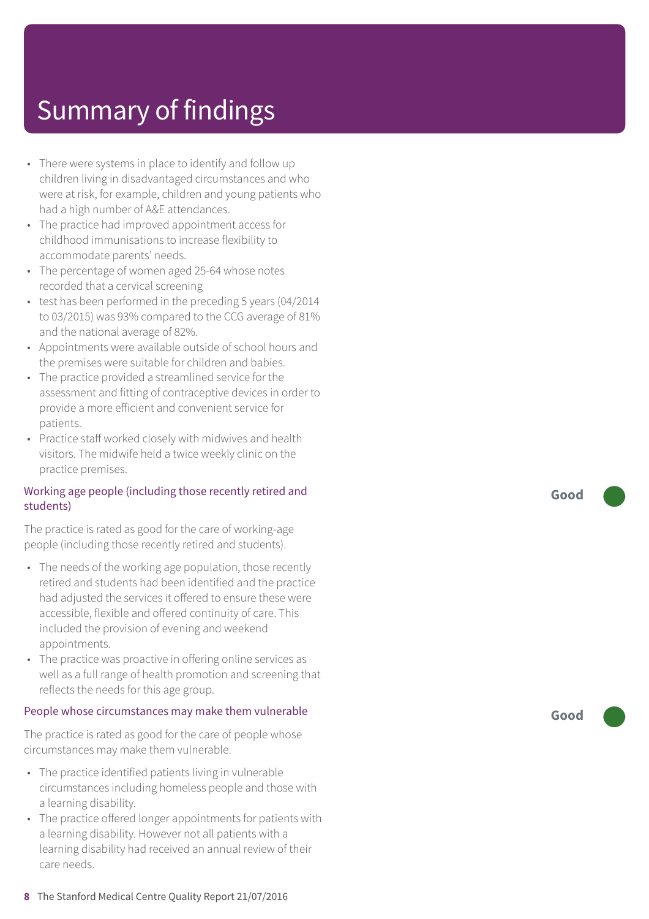- There were systems in place to identify and follow up children living in disadvantaged circumstances and who wer e at risk , for example, children and young patients who had a high number of A&E attendances.
- The practic e had improved appointment ac cess for childhood immunisations t o incr ease flexibility t o ac commodat e parents' needs.
- The per centag e of women aged 25-64 whose notes recorded that a cervical screening
- test has been performed in the preceding 5 year s (04/2014 to 03/2015) was 93% compared to the CCG average of 81% and the national averag e of 82%.
- Appointments wer e available outside of school hour s and the premises wer e suitable for children and babies.
- The practice provided a streamlined service for the assessment and fitting of contraceptive devices in order to provide a mor e efficient and convenient servic e for patients.
- Practic e staff worked closely with midwives and health visitors. The midwif e held a twic e weekly clinic on the practic e premises.

#### Working ag e people (including those recently r etired and students)

The practice is rated as good for the care of working-age people (including those recently retired and students).

- The needs of the working ag e population, those recently r etired and students had been identified and the practic e had adjusted the services it offered t o ensur e these wer e ac cessible, flexible and offered continuity of care. This included the provision of evening and weekend appointments.
- The practice was proactive in offering online services as well as a full rang e of health promotion and screening that reflects the needs for this ag e group.

### People whose circumstances may mak e them vulnerable

The practic e is rated as good for the car e of people whose circumstances may mak e them vulnerable.

- The practice identified patients living in vulnerable circumstances including homeless people and those with a learning disability.
- The practice offered longer appointments for patients with a learning disability. However not all patients with a learning disability had received an annual r evie w of their car e needs.

**Good –––**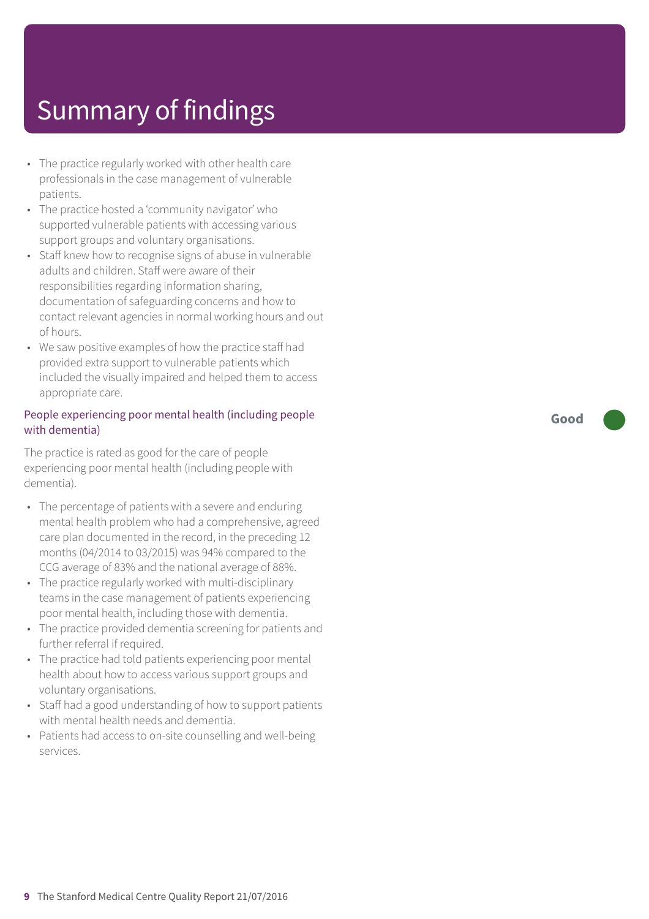- The practice regularly worked with other health care professionals in the case management of vulnerable patients.
- The practic e hosted a ' community navigator' who supported vulnerable patients with accessing various support groups and voluntar y or ganisations.
- Staff knew how to recognise signs of abuse in vulnerable adults and children. Staff wer e awar e of their responsibilities regarding information sharing, documentation of saf eguarding concerns and how t o contact rele vant agencies in normal working hour s and out of hours.
- We saw positive examples of how the practic e staff had provided extr a support t o vulnerable patients which included the visually impaired and helped them t o ac cess appropriat e care.

#### People experiencing poor mental health (including people with dementia)

The practic e is rated as good for the car e of people experiencing poor mental health (including people with dementia).

- The per centag e of patients with a sever e and enduring mental health problem who had a comprehensive, agreed car e plan documented in the record, in the preceding 12 months (04/2014 t o 03/2015) was 94% compared t o the C C G averag e of 83% and the national averag e of 88%.
- The practice regularly worked with multi-disciplinary t eams in the case management of patients experiencing poor mental health, including those with dementia.
- The practic e provided dementia screening for patients and further referral if required.
- The practice had told patients experiencing poor mental health about how t o ac cess various support groups and voluntar y or ganisations.
- Staff had a good understanding of how to support patients with mental health needs and dementia.
- Patients had access to on-site counselling and well-being services.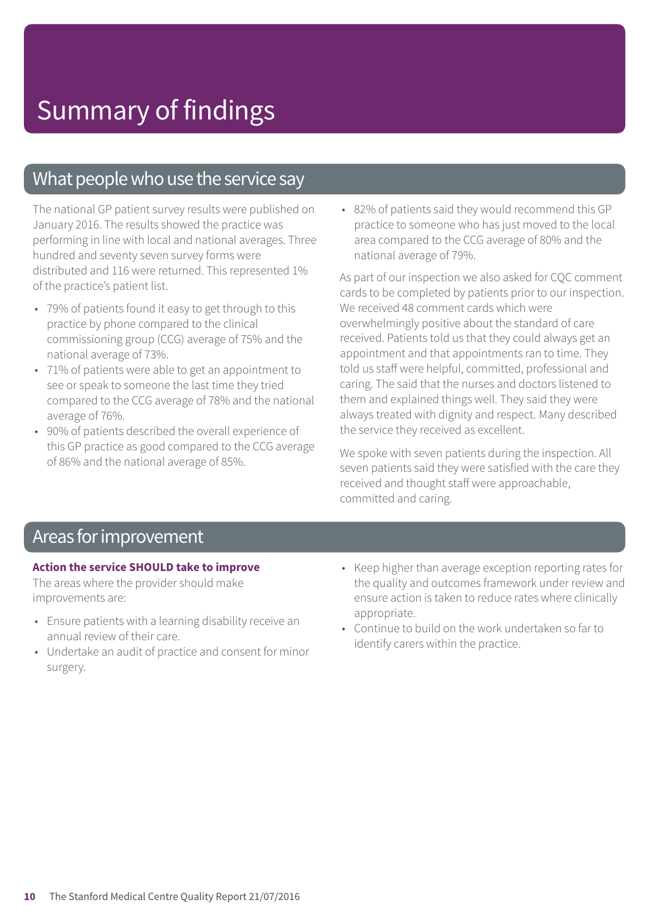### What people who use the service say

The national GP patient survey results were published on January 2016. The results showed the practice was performing in line with local and national averages. Three hundred and seventy seven survey forms were distributed and 116 were returned. This represented 1% of the practice's patient list.

- 79% of patients found it easy to get through to this practice by phone compared to the clinical commissioning group (CCG) average of 75% and the national average of 73%.
- 71% of patients were able to get an appointment to see or speak to someone the last time they tried compared to the CCG average of 78% and the national average of 76%.
- 90% of patients described the overall experience of this GP practice as good compared to the CCG average of 86% and the national average of 85%.

• 82% of patients said they would recommend this GP practice to someone who has just moved to the local area compared to the CCG average of 80% and the national average of 79%.

As part of our inspection we also asked for CQC comment cards to be completed by patients prior to our inspection. We received 48 comment cards which were overwhelmingly positive about the standard of care received. Patients told us that they could always get an appointment and that appointments ran to time. They told us staff were helpful, committed, professional and caring. The said that the nurses and doctors listened to them and explained things well. They said they were always treated with dignity and respect. Many described the service they received as excellent.

We spoke with seven patients during the inspection. All seven patients said they were satisfied with the care they received and thought staff were approachable, committed and caring.

### Areas forimprovement

#### **Action the service SHOULD take to improve**

The areas where the provider should make improvements are:

- Ensure patients with a learning disability receive an annual review of their care.
- Undertake an audit of practice and consent for minor surgery.
- Keep higher than average exception reporting rates for the quality and outcomes framework under review and ensure action is taken to reduce rates where clinically appropriate.
- Continue to build on the work undertaken so far to identify carers within the practice.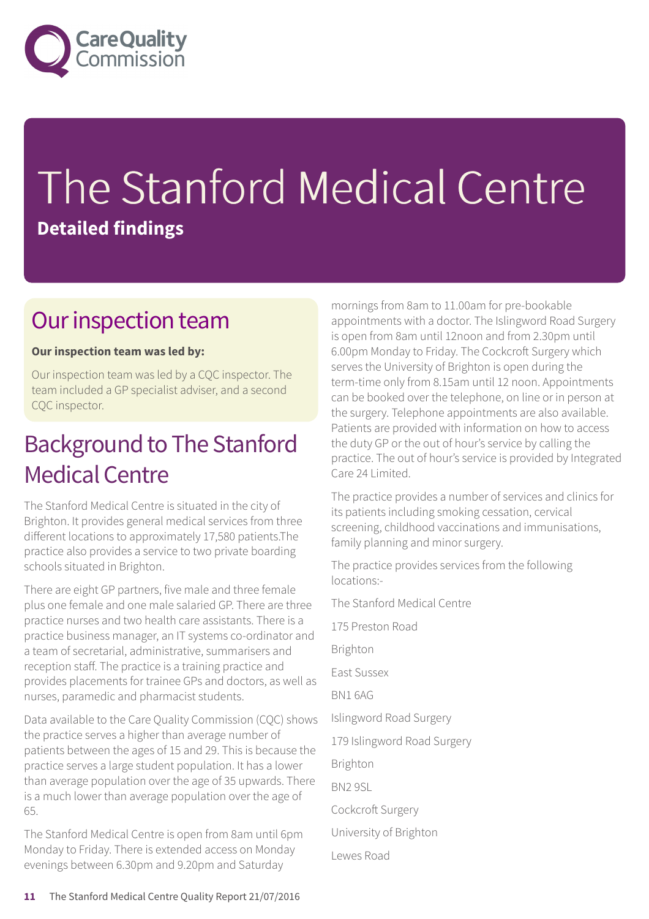

# The Stanford Medical Centre **Detailed findings**

### Our inspection team

#### **Our inspection team was led by:**

Our inspection team was led by a CQC inspector. The team included a GP specialist adviser, and a second CQC inspector.

### Background to The Stanford Medical Centre

The Stanford Medical Centre is situated in the city of Brighton. It provides general medical services from three different locations to approximately 17,580 patients.The practice also provides a service to two private boarding schools situated in Brighton.

There are eight GP partners, five male and three female plus one female and one male salaried GP. There are three practice nurses and two health care assistants. There is a practice business manager, an IT systems co-ordinator and a team of secretarial, administrative, summarisers and reception staff. The practice is a training practice and provides placements for trainee GPs and doctors, as well as nurses, paramedic and pharmacist students.

Data available to the Care Quality Commission (CQC) shows the practice serves a higher than average number of patients between the ages of 15 and 29. This is because the practice serves a large student population. It has a lower than average population over the age of 35 upwards. There is a much lower than average population over the age of 65.

The Stanford Medical Centre is open from 8am until 6pm Monday to Friday. There is extended access on Monday evenings between 6.30pm and 9.20pm and Saturday

mornings from 8am to 11.00am for pre-bookable appointments with a doctor. The Islingword Road Surgery is open from 8am until 12noon and from 2.30pm until 6.00pm Monday to Friday. The Cockcroft Surgery which serves the University of Brighton is open during the term-time only from 8.15am until 12 noon. Appointments can be booked over the telephone, on line or in person at the surgery. Telephone appointments are also available. Patients are provided with information on how to access the duty GP or the out of hour's service by calling the practice. The out of hour's service is provided by Integrated Care 24 Limited.

The practice provides a number of services and clinics for its patients including smoking cessation, cervical screening, childhood vaccinations and immunisations, family planning and minor surgery.

The practice provides services from the following locations:-

The Stanford Medical Centre

- 175 Preston Road
- Brighton
- East Sussex
- BN1 6AG
- Islingword Road Surgery
- 179 Islingword Road Surgery

Brighton

- BN2 9SL
- Cockcroft Surgery
- University of Brighton
- Lewes Road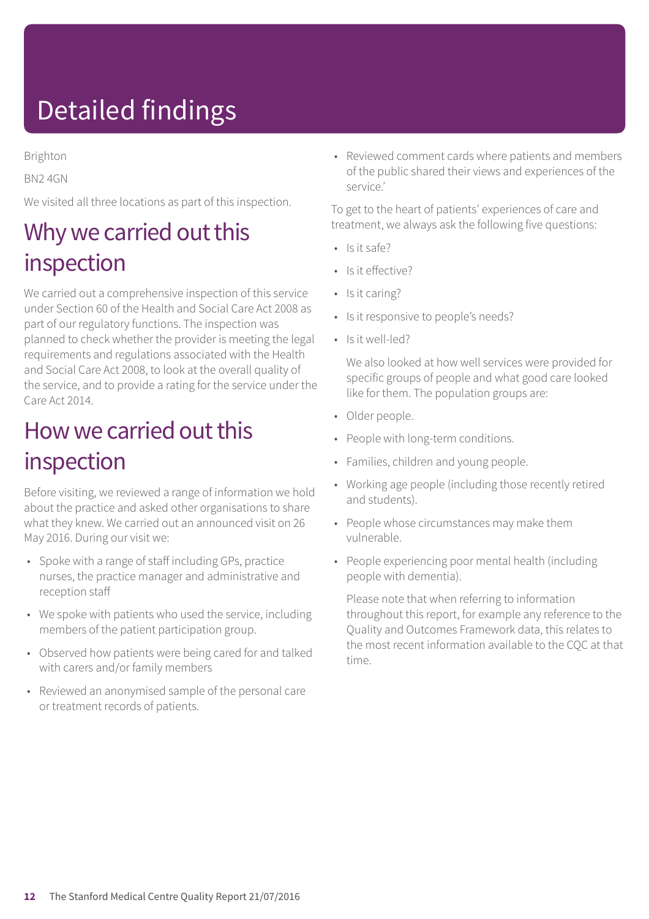# Detailed findings

Brighton

BN2 4GN

We visited all three locations as part of this inspection.

### Why we carried out this inspection

We carried out a comprehensive inspection of this service under Section 60 of the Health and Social Care Act 2008 as part of our regulatory functions. The inspection was planned to check whether the provider is meeting the legal requirements and regulations associated with the Health and Social Care Act 2008, to look at the overall quality of the service, and to provide a rating for the service under the Care Act 2014.

### How we carried out this inspection

Before visiting, we reviewed a range of information we hold about the practice and asked other organisations to share what they knew. We carried out an announced visit on 26 May 2016. During our visit we:

- Spoke with a range of staff including GPs, practice nurses, the practice manager and administrative and reception staff
- We spoke with patients who used the service, including members of the patient participation group.
- Observed how patients were being cared for and talked with carers and/or family members
- Reviewed an anonymised sample of the personal care or treatment records of patients.

• Reviewed comment cards where patients and members of the public shared their views and experiences of the service.'

To get to the heart of patients' experiences of care and treatment, we always ask the following five questions:

- Is it safe?
- Is it effective?
- Is it caring?
- Is it responsive to people's needs?
- Is it well-led?

We also looked at how well services were provided for specific groups of people and what good care looked like for them. The population groups are:

- Older people.
- People with long-term conditions.
- Families, children and young people.
- Working age people (including those recently retired and students).
- People whose circumstances may make them vulnerable.
- People experiencing poor mental health (including people with dementia).

Please note that when referring to information throughout this report, for example any reference to the Quality and Outcomes Framework data, this relates to the most recent information available to the CQC at that time.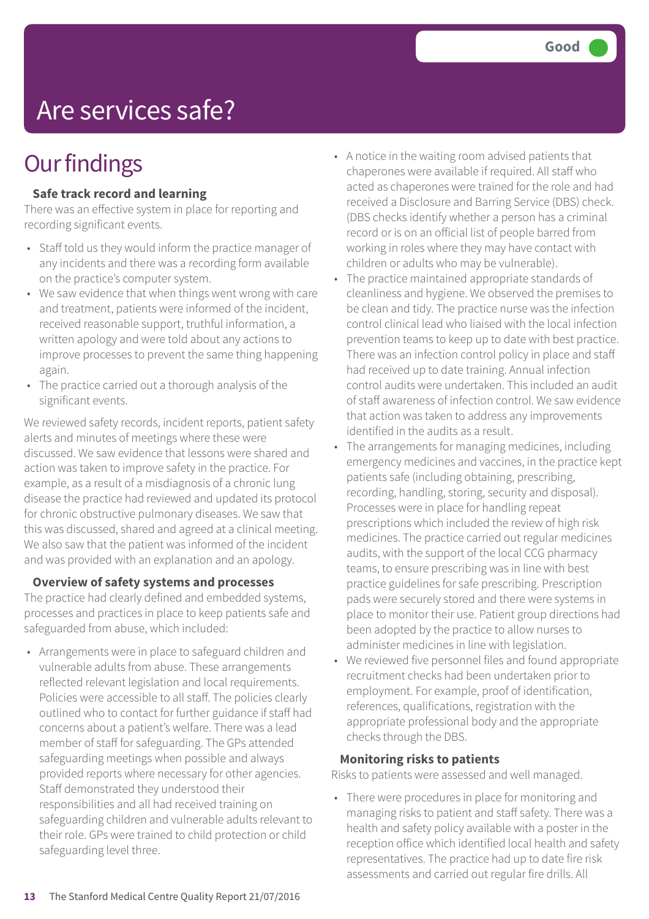## Are services safe?

### **Our findings**

#### **Safe track record and learning**

There was an effective system in place for reporting and recording significant events.

- Staff told us they would inform the practice manager of any incidents and there was a recording form available on the practice's computer system.
- We saw evidence that when things went wrong with care and treatment, patients were informed of the incident, received reasonable support, truthful information, a written apology and were told about any actions to improve processes to prevent the same thing happening again.
- The practice carried out a thorough analysis of the significant events.

We reviewed safety records, incident reports, patient safety alerts and minutes of meetings where these were discussed. We saw evidence that lessons were shared and action was taken to improve safety in the practice. For example, as a result of a misdiagnosis of a chronic lung disease the practice had reviewed and updated its protocol for chronic obstructive pulmonary diseases. We saw that this was discussed, shared and agreed at a clinical meeting. We also saw that the patient was informed of the incident and was provided with an explanation and an apology.

#### **Overview of safety systems and processes**

The practice had clearly defined and embedded systems, processes and practices in place to keep patients safe and safeguarded from abuse, which included:

• Arrangements were in place to safeguard children and vulnerable adults from abuse. These arrangements reflected relevant legislation and local requirements. Policies were accessible to all staff. The policies clearly outlined who to contact for further guidance if staff had concerns about a patient's welfare. There was a lead member of staff for safeguarding. The GPs attended safeguarding meetings when possible and always provided reports where necessary for other agencies. Staff demonstrated they understood their responsibilities and all had received training on safeguarding children and vulnerable adults relevant to their role. GPs were trained to child protection or child safeguarding level three.

- A notice in the waiting room advised patients that chaperones were available if required. All staff who acted as chaperones were trained for the role and had received a Disclosure and Barring Service (DBS) check. (DBS checks identify whether a person has a criminal record or is on an official list of people barred from working in roles where they may have contact with children or adults who may be vulnerable).
- The practice maintained appropriate standards of cleanliness and hygiene. We observed the premises to be clean and tidy. The practice nurse was the infection control clinical lead who liaised with the local infection prevention teams to keep up to date with best practice. There was an infection control policy in place and staff had received up to date training. Annual infection control audits were undertaken. This included an audit of staff awareness of infection control. We saw evidence that action was taken to address any improvements identified in the audits as a result.
- The arrangements for managing medicines, including emergency medicines and vaccines, in the practice kept patients safe (including obtaining, prescribing, recording, handling, storing, security and disposal). Processes were in place for handling repeat prescriptions which included the review of high risk medicines. The practice carried out regular medicines audits, with the support of the local CCG pharmacy teams, to ensure prescribing was in line with best practice guidelines for safe prescribing. Prescription pads were securely stored and there were systems in place to monitor their use. Patient group directions had been adopted by the practice to allow nurses to administer medicines in line with legislation.
- We reviewed five personnel files and found appropriate recruitment checks had been undertaken prior to employment. For example, proof of identification, references, qualifications, registration with the appropriate professional body and the appropriate checks through the DBS.

### **Monitoring risks to patients**

Risks to patients were assessed and well managed.

• There were procedures in place for monitoring and managing risks to patient and staff safety. There was a health and safety policy available with a poster in the reception office which identified local health and safety representatives. The practice had up to date fire risk assessments and carried out regular fire drills. All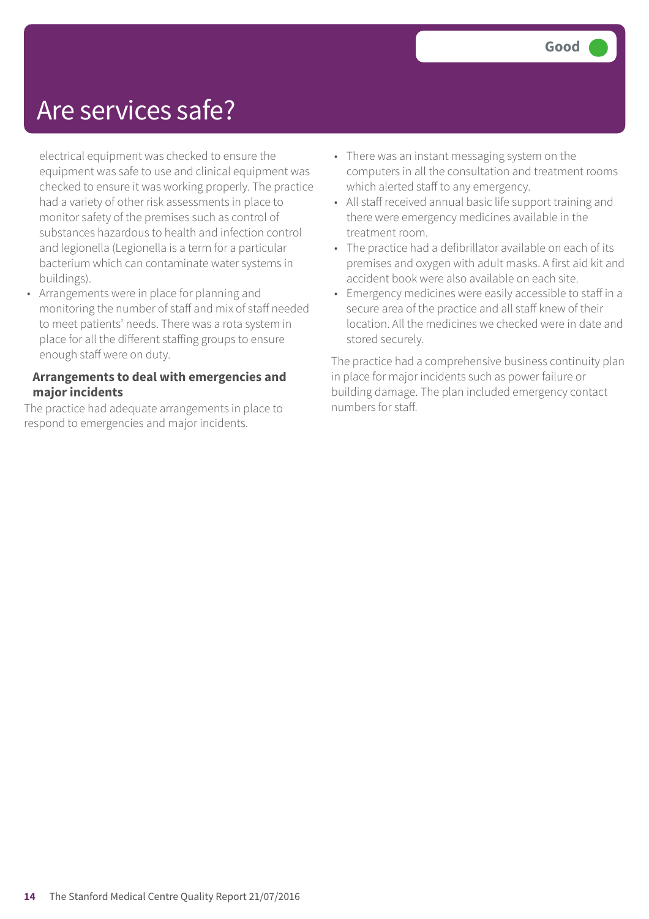### Are services safe?

electrical equipment was checked to ensure the equipment was safe to use and clinical equipment was checked to ensure it was working properly. The practice had a variety of other risk assessments in place to monitor safety of the premises such as control of substances hazardous to health and infection control and legionella (Legionella is a term for a particular bacterium which can contaminate water systems in buildings).

• Arrangements were in place for planning and monitoring the number of staff and mix of staff needed to meet patients' needs. There was a rota system in place for all the different staffing groups to ensure enough staff were on duty.

### **Arrangements to deal with emergencies and major incidents**

The practice had adequate arrangements in place to respond to emergencies and major incidents.

- There was an instant messaging system on the computers in all the consultation and treatment rooms which alerted staff to any emergency.
- All staff received annual basic life support training and there were emergency medicines available in the treatment room.
- The practice had a defibrillator available on each of its premises and oxygen with adult masks. A first aid kit and accident book were also available on each site.
- Emergency medicines were easily accessible to staff in a secure area of the practice and all staff knew of their location. All the medicines we checked were in date and stored securely.

The practice had a comprehensive business continuity plan in place for major incidents such as power failure or building damage. The plan included emergency contact numbers for staff.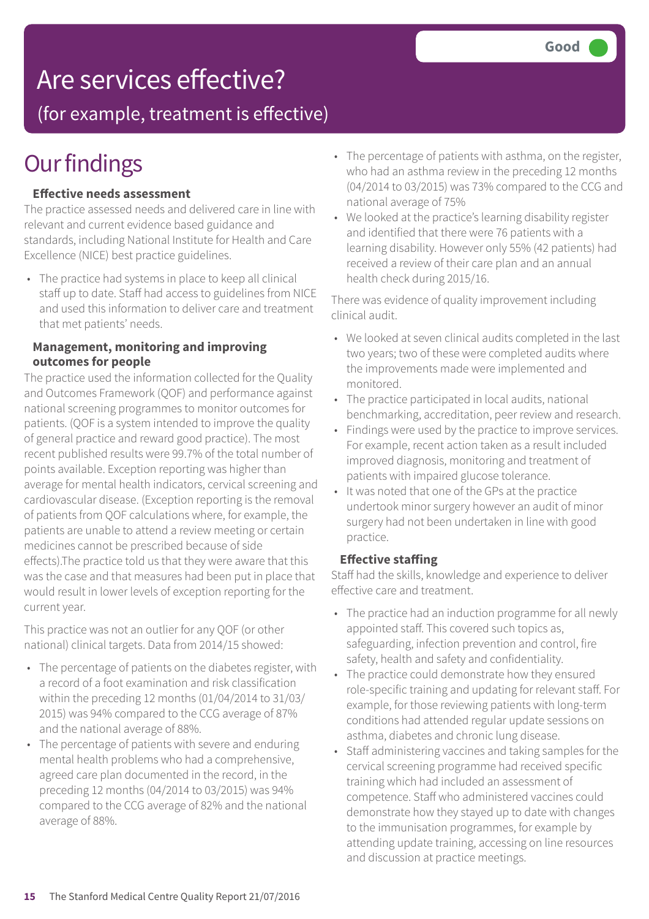### Are services effective?

(for example, treatment is effective)

### **Our findings**

#### **Effective needs assessment**

The practice assessed needs and delivered care in line with relevant and current evidence based guidance and standards, including National Institute for Health and Care Excellence (NICE) best practice guidelines.

• The practice had systems in place to keep all clinical staff up to date. Staff had access to guidelines from NICE and used this information to deliver care and treatment that met patients' needs.

#### **Management, monitoring and improving outcomes for people**

The practice used the information collected for the Quality and Outcomes Framework (QOF) and performance against national screening programmes to monitor outcomes for patients. (QOF is a system intended to improve the quality of general practice and reward good practice). The most recent published results were 99.7% of the total number of points available. Exception reporting was higher than average for mental health indicators, cervical screening and cardiovascular disease. (Exception reporting is the removal of patients from QOF calculations where, for example, the patients are unable to attend a review meeting or certain medicines cannot be prescribed because of side effects).The practice told us that they were aware that this was the case and that measures had been put in place that would result in lower levels of exception reporting for the current year.

This practice was not an outlier for any QOF (or other national) clinical targets. Data from 2014/15 showed:

- The percentage of patients on the diabetes register, with a record of a foot examination and risk classification within the preceding 12 months (01/04/2014 to 31/03/ 2015) was 94% compared to the CCG average of 87% and the national average of 88%.
- The percentage of patients with severe and enduring mental health problems who had a comprehensive, agreed care plan documented in the record, in the preceding 12 months (04/2014 to 03/2015) was 94% compared to the CCG average of 82% and the national average of 88%.
- The percentage of patients with asthma, on the register, who had an asthma review in the preceding 12 months (04/2014 to 03/2015) was 73% compared to the CCG and national average of 75%
- We looked at the practice's learning disability register and identified that there were 76 patients with a learning disability. However only 55% (42 patients) had received a review of their care plan and an annual health check during 2015/16.

There was evidence of quality improvement including clinical audit.

- We looked at seven clinical audits completed in the last two years; two of these were completed audits where the improvements made were implemented and monitored.
- The practice participated in local audits, national benchmarking, accreditation, peer review and research.
- Findings were used by the practice to improve services. For example, recent action taken as a result included improved diagnosis, monitoring and treatment of patients with impaired glucose tolerance.
- It was noted that one of the GPs at the practice undertook minor surgery however an audit of minor surgery had not been undertaken in line with good practice.

#### **Effective staffing**

Staff had the skills, knowledge and experience to deliver effective care and treatment.

- The practice had an induction programme for all newly appointed staff. This covered such topics as, safeguarding, infection prevention and control, fire safety, health and safety and confidentiality.
- The practice could demonstrate how they ensured role-specific training and updating for relevant staff. For example, for those reviewing patients with long-term conditions had attended regular update sessions on asthma, diabetes and chronic lung disease.
- Staff administering vaccines and taking samples for the cervical screening programme had received specific training which had included an assessment of competence. Staff who administered vaccines could demonstrate how they stayed up to date with changes to the immunisation programmes, for example by attending update training, accessing on line resources and discussion at practice meetings.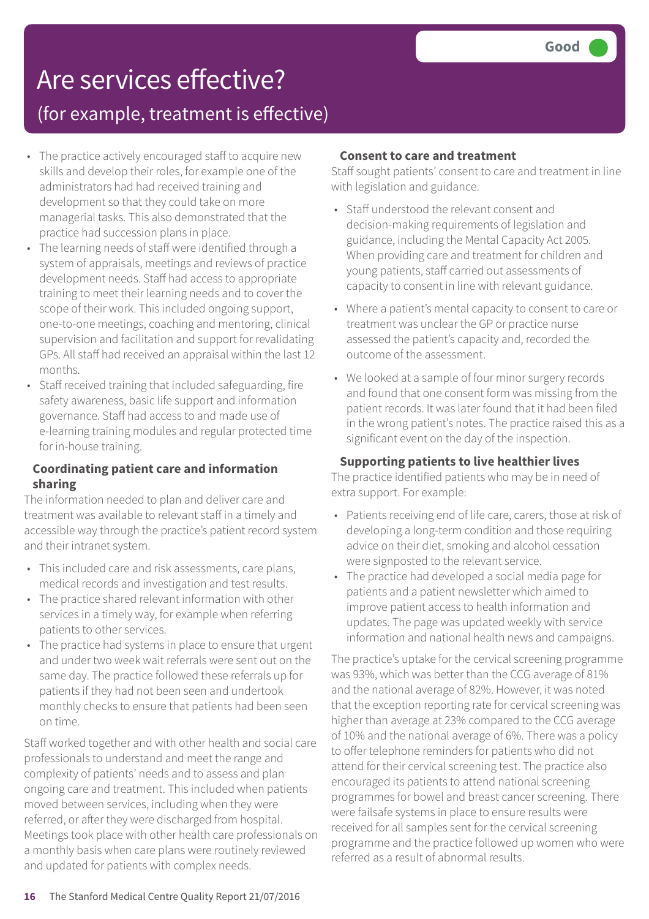### Are services effective?

### (for example, treatment is effective)

- The practice actively encouraged staff to acquire new skills and develop their roles, for example one of the administrators had had received training and development so that they could take on more managerial tasks. This also demonstrated that the practice had succession plans in place.
- The learning needs of staff were identified through a system of appraisals, meetings and reviews of practice development needs. Staff had access to appropriate training to meet their learning needs and to cover the scope of their work. This included ongoing support, one-to-one meetings, coaching and mentoring, clinical supervision and facilitation and support for revalidating GPs. All staff had received an appraisal within the last 12 months.
- Staff received training that included safeguarding, fire safety awareness, basic life support and information governance. Staff had access to and made use of e-learning training modules and regular protected time for in-house training.

#### **Coordinating patient care and information sharing**

The information needed to plan and deliver care and treatment was available to relevant staff in a timely and accessible way through the practice's patient record system and their intranet system.

- This included care and risk assessments, care plans, medical records and investigation and test results.
- The practice shared relevant information with other services in a timely way, for example when referring patients to other services.
- The practice had systems in place to ensure that urgent and under two week wait referrals were sent out on the same day. The practice followed these referrals up for patients if they had not been seen and undertook monthly checks to ensure that patients had been seen on time.

Staff worked together and with other health and social care professionals to understand and meet the range and complexity of patients' needs and to assess and plan ongoing care and treatment. This included when patients moved between services, including when they were referred, or after they were discharged from hospital. Meetings took place with other health care professionals on a monthly basis when care plans were routinely reviewed and updated for patients with complex needs.

#### **Consent to care and treatment**

Staff sought patients' consent to care and treatment in line with legislation and guidance.

- Staff understood the relevant consent and decision-making requirements of legislation and guidance, including the Mental Capacity Act 2005. When providing care and treatment for children and young patients, staff carried out assessments of capacity to consent in line with relevant guidance.
- Where a patient's mental capacity to consent to care or treatment was unclear the GP or practice nurse assessed the patient's capacity and, recorded the outcome of the assessment.
- We looked at a sample of four minor surgery records and found that one consent form was missing from the patient records. It was later found that it had been filed in the wrong patient's notes. The practice raised this as a significant event on the day of the inspection.

#### **Supporting patients to live healthier lives**

The practice identified patients who may be in need of extra support. For example:

- Patients receiving end of life care, carers, those at risk of developing a long-term condition and those requiring advice on their diet, smoking and alcohol cessation were signposted to the relevant service.
- The practice had developed a social media page for patients and a patient newsletter which aimed to improve patient access to health information and updates. The page was updated weekly with service information and national health news and campaigns.

The practice's uptake for the cervical screening programme was 93%, which was better than the CCG average of 81% and the national average of 82%. However, it was noted that the exception reporting rate for cervical screening was higher than average at 23% compared to the CCG average of 10% and the national average of 6%. There was a policy to offer telephone reminders for patients who did not attend for their cervical screening test. The practice also encouraged its patients to attend national screening programmes for bowel and breast cancer screening. There were failsafe systems in place to ensure results were received for all samples sent for the cervical screening programme and the practice followed up women who were referred as a result of abnormal results.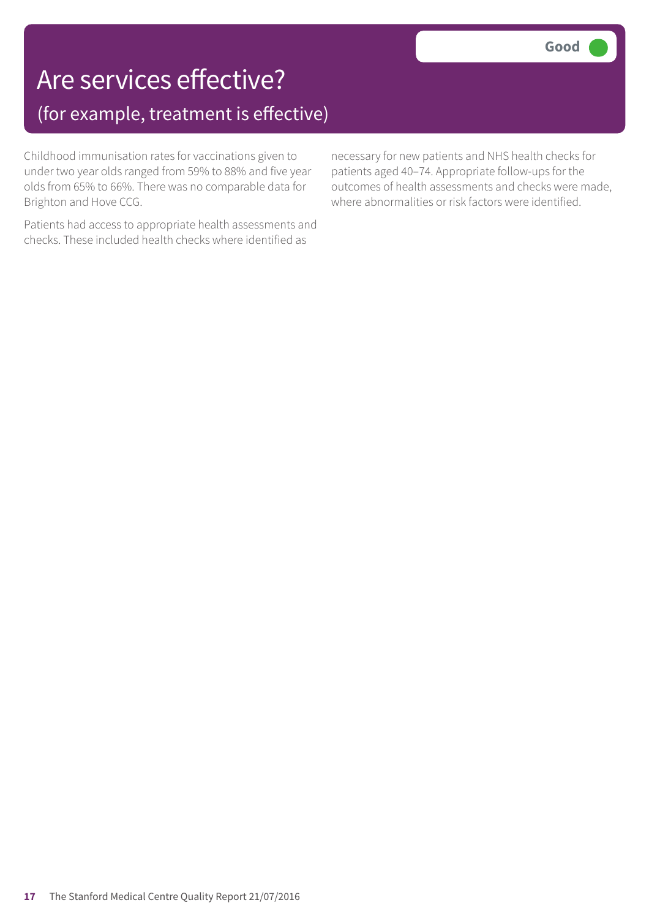### Are services effective? (for example, treatment is effective)

Childhood immunisation rates for vaccinations given to under two year olds ranged from 59% to 88% and five year olds from 65% to 66%. There was no comparable data for Brighton and Hove CCG.

Patients had access to appropriate health assessments and checks. These included health checks where identified as

necessary for new patients and NHS health checks for patients aged 40–74. Appropriate follow-ups for the outcomes of health assessments and checks were made, where abnormalities or risk factors were identified.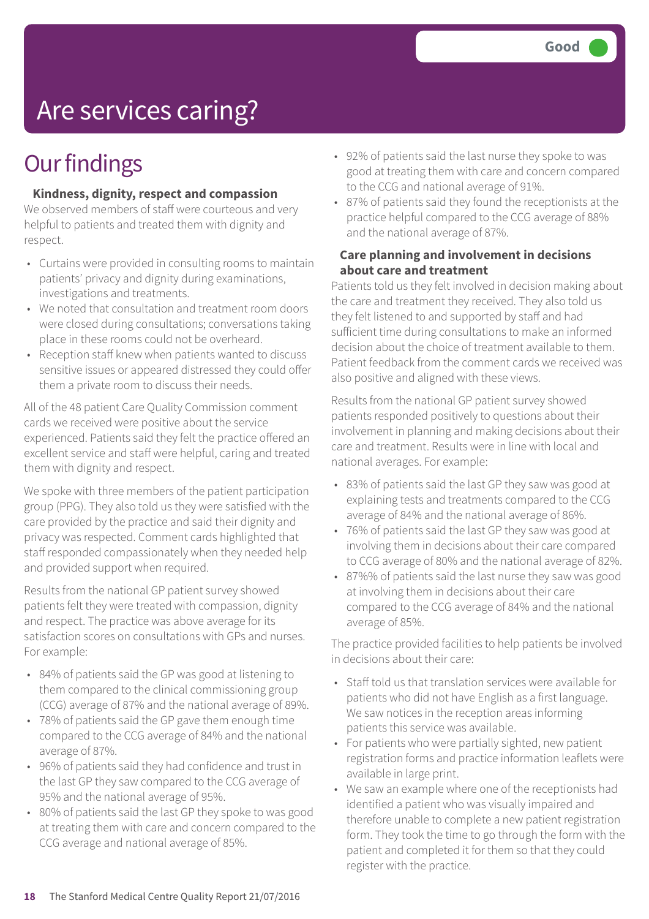# Are services caring?

### **Our findings**

#### **Kindness, dignity, respect and compassion**

We observed members of staff were courteous and very helpful to patients and treated them with dignity and respect.

- Curtains were provided in consulting rooms to maintain patients' privacy and dignity during examinations, investigations and treatments.
- We noted that consultation and treatment room doors were closed during consultations; conversations taking place in these rooms could not be overheard.
- Reception staff knew when patients wanted to discuss sensitive issues or appeared distressed they could offer them a private room to discuss their needs.

All of the 48 patient Care Quality Commission comment cards we received were positive about the service experienced. Patients said they felt the practice offered an excellent service and staff were helpful, caring and treated them with dignity and respect.

We spoke with three members of the patient participation group (PPG). They also told us they were satisfied with the care provided by the practice and said their dignity and privacy was respected. Comment cards highlighted that staff responded compassionately when they needed help and provided support when required.

Results from the national GP patient survey showed patients felt they were treated with compassion, dignity and respect. The practice was above average for its satisfaction scores on consultations with GPs and nurses. For example:

- 84% of patients said the GP was good at listening to them compared to the clinical commissioning group (CCG) average of 87% and the national average of 89%.
- 78% of patients said the GP gave them enough time compared to the CCG average of 84% and the national average of 87%.
- 96% of patients said they had confidence and trust in the last GP they saw compared to the CCG average of 95% and the national average of 95%.
- 80% of patients said the last GP they spoke to was good at treating them with care and concern compared to the CCG average and national average of 85%.
- 92% of patients said the last nurse they spoke to was good at treating them with care and concern compared to the CCG and national average of 91%.
- 87% of patients said they found the receptionists at the practice helpful compared to the CCG average of 88% and the national average of 87%.

#### **Care planning and involvement in decisions about care and treatment**

Patients told us they felt involved in decision making about the care and treatment they received. They also told us they felt listened to and supported by staff and had sufficient time during consultations to make an informed decision about the choice of treatment available to them. Patient feedback from the comment cards we received was also positive and aligned with these views.

Results from the national GP patient survey showed patients responded positively to questions about their involvement in planning and making decisions about their care and treatment. Results were in line with local and national averages. For example:

- 83% of patients said the last GP they saw was good at explaining tests and treatments compared to the CCG average of 84% and the national average of 86%.
- 76% of patients said the last GP they saw was good at involving them in decisions about their care compared to CCG average of 80% and the national average of 82%.
- 87%% of patients said the last nurse they saw was good at involving them in decisions about their care compared to the CCG average of 84% and the national average of 85%.

The practice provided facilities to help patients be involved in decisions about their care:

- Staff told us that translation services were available for patients who did not have English as a first language. We saw notices in the reception areas informing patients this service was available.
- For patients who were partially sighted, new patient registration forms and practice information leaflets were available in large print.
- We saw an example where one of the receptionists had identified a patient who was visually impaired and therefore unable to complete a new patient registration form. They took the time to go through the form with the patient and completed it for them so that they could register with the practice.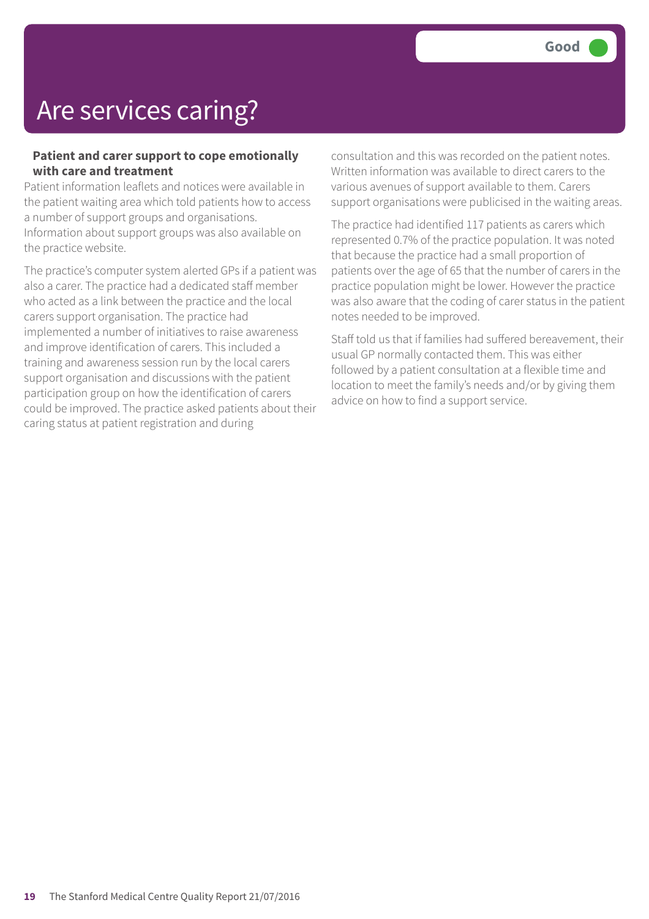## Are services caring?

#### **Patient and carer support to cope emotionally with care and treatment**

Patient information leaflets and notices were available in the patient waiting area which told patients how to access a number of support groups and organisations. Information about support groups was also available on the practice website.

The practice's computer system alerted GPs if a patient was also a carer. The practice had a dedicated staff member who acted as a link between the practice and the local carers support organisation. The practice had implemented a number of initiatives to raise awareness and improve identification of carers. This included a training and awareness session run by the local carers support organisation and discussions with the patient participation group on how the identification of carers could be improved. The practice asked patients about their caring status at patient registration and during

consultation and this was recorded on the patient notes. Written information was available to direct carers to the various avenues of support available to them. Carers support organisations were publicised in the waiting areas.

The practice had identified 117 patients as carers which represented 0.7% of the practice population. It was noted that because the practice had a small proportion of patients over the age of 65 that the number of carers in the practice population might be lower. However the practice was also aware that the coding of carer status in the patient notes needed to be improved.

Staff told us that if families had suffered bereavement, their usual GP normally contacted them. This was either followed by a patient consultation at a flexible time and location to meet the family's needs and/or by giving them advice on how to find a support service.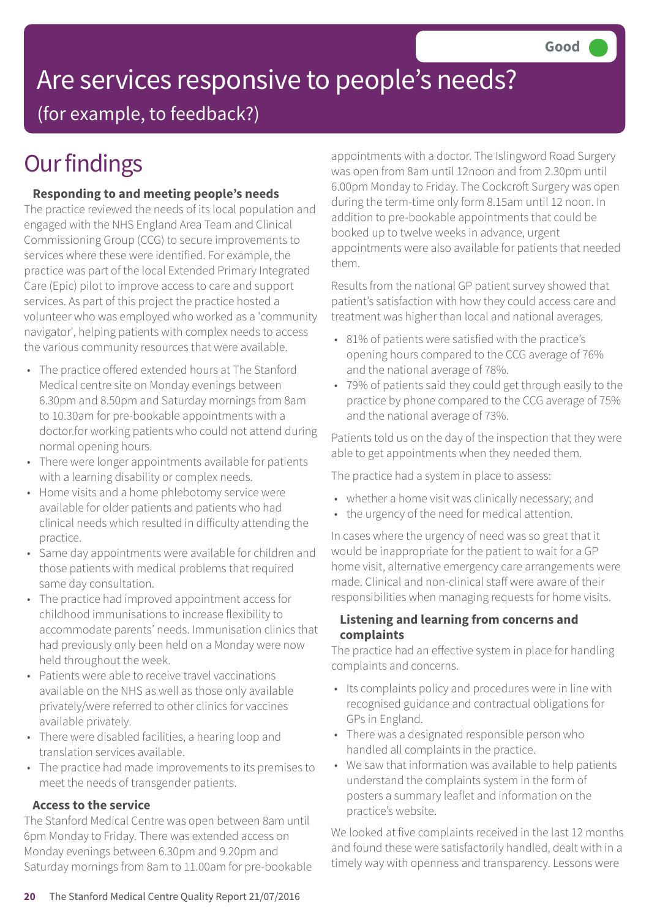# Are services responsive to people's needs?

(for example, to feedback?)

### **Our findings**

### **Responding to and meeting people's needs**

The practice reviewed the needs of its local population and engaged with the NHS England Area Team and Clinical Commissioning Group (CCG) to secure improvements to services where these were identified. For example, the practice was part of the local Extended Primary Integrated Care (Epic) pilot to improve access to care and support services. As part of this project the practice hosted a volunteer who was employed who worked as a 'community navigator', helping patients with complex needs to access the various community resources that were available.

- The practice offered extended hours at The Stanford Medical centre site on Monday evenings between 6.30pm and 8.50pm and Saturday mornings from 8am to 10.30am for pre-bookable appointments with a doctor.for working patients who could not attend during normal opening hours.
- There were longer appointments available for patients with a learning disability or complex needs.
- Home visits and a home phlebotomy service were available for older patients and patients who had clinical needs which resulted in difficulty attending the practice.
- Same day appointments were available for children and those patients with medical problems that required same day consultation.
- The practice had improved appointment access for childhood immunisations to increase flexibility to accommodate parents' needs. Immunisation clinics that had previously only been held on a Monday were now held throughout the week.
- Patients were able to receive travel vaccinations available on the NHS as well as those only available privately/were referred to other clinics for vaccines available privately.
- There were disabled facilities, a hearing loop and translation services available.
- The practice had made improvements to its premises to meet the needs of transgender patients.

### **Access to the service**

The Stanford Medical Centre was open between 8am until 6pm Monday to Friday. There was extended access on Monday evenings between 6.30pm and 9.20pm and Saturday mornings from 8am to 11.00am for pre-bookable appointments with a doctor. The Islingword Road Surgery was open from 8am until 12noon and from 2.30pm until 6.00pm Monday to Friday. The Cockcroft Surgery was open during the term-time only form 8.15am until 12 noon. In addition to pre-bookable appointments that could be booked up to twelve weeks in advance, urgent appointments were also available for patients that needed them.

Results from the national GP patient survey showed that patient's satisfaction with how they could access care and treatment was higher than local and national averages.

- 81% of patients were satisfied with the practice's opening hours compared to the CCG average of 76% and the national average of 78%.
- 79% of patients said they could get through easily to the practice by phone compared to the CCG average of 75% and the national average of 73%.

Patients told us on the day of the inspection that they were able to get appointments when they needed them.

The practice had a system in place to assess:

- whether a home visit was clinically necessary; and
- the urgency of the need for medical attention.

In cases where the urgency of need was so great that it would be inappropriate for the patient to wait for a GP home visit, alternative emergency care arrangements were made. Clinical and non-clinical staff were aware of their responsibilities when managing requests for home visits.

#### **Listening and learning from concerns and complaints**

The practice had an effective system in place for handling complaints and concerns.

- Its complaints policy and procedures were in line with recognised guidance and contractual obligations for GPs in England.
- There was a designated responsible person who handled all complaints in the practice.
- We saw that information was available to help patients understand the complaints system in the form of posters a summary leaflet and information on the practice's website.

We looked at five complaints received in the last 12 months and found these were satisfactorily handled, dealt with in a timely way with openness and transparency. Lessons were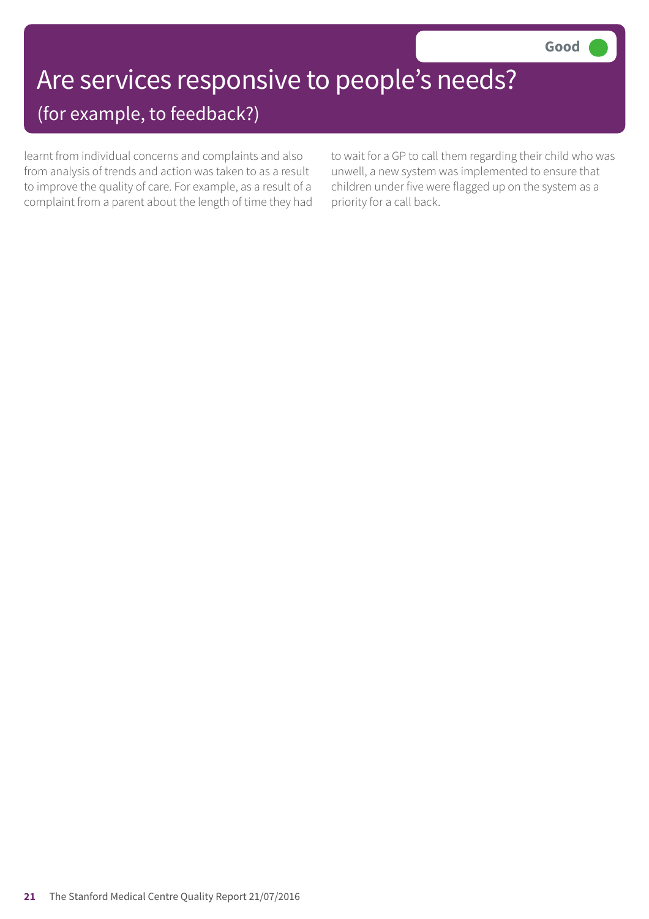### Are services responsive to people's needs? (for example, to feedback?)

learnt from individual concerns and complaints and also from analysis of trends and action was taken to as a result to improve the quality of care. For example, as a result of a complaint from a parent about the length of time they had

to wait for a GP to call them regarding their child who was unwell, a new system was implemented to ensure that children under five were flagged up on the system as a priority for a call back.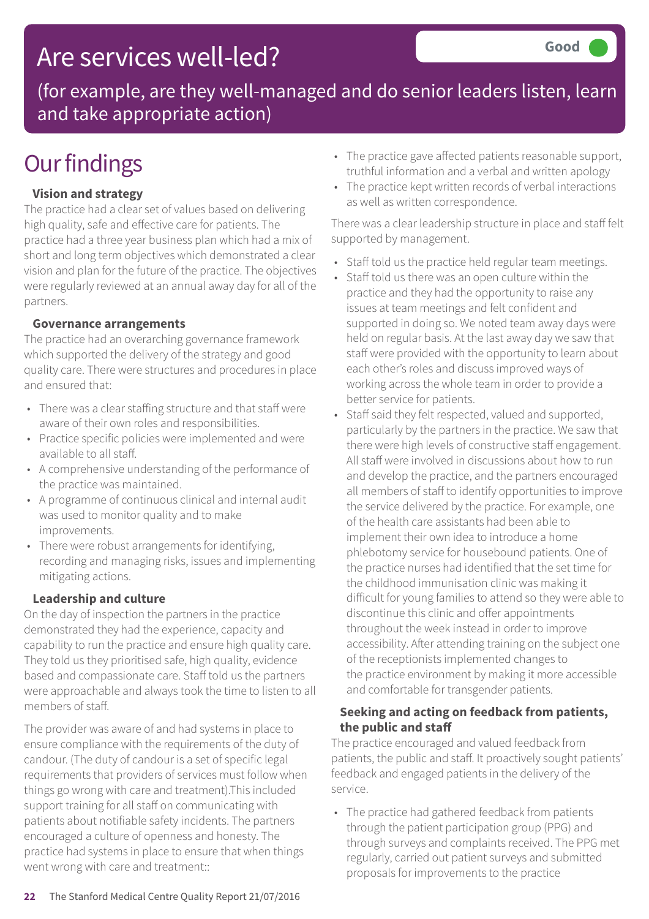### Are services well-led?

(for example, are they well-managed and do senior leaders listen, learn and take appropriate action)

### **Our findings**

### **Vision and strategy**

The practice had a clear set of values based on delivering high quality, safe and effective care for patients. The practice had a three year business plan which had a mix of short and long term objectives which demonstrated a clear vision and plan for the future of the practice. The objectives were regularly reviewed at an annual away day for all of the partners.

### **Governance arrangements**

The practice had an overarching governance framework which supported the delivery of the strategy and good quality care. There were structures and procedures in place and ensured that:

- There was a clear staffing structure and that staff were aware of their own roles and responsibilities.
- Practice specific policies were implemented and were available to all staff.
- A comprehensive understanding of the performance of the practice was maintained.
- A programme of continuous clinical and internal audit was used to monitor quality and to make improvements.
- There were robust arrangements for identifying, recording and managing risks, issues and implementing mitigating actions.

### **Leadership and culture**

On the day of inspection the partners in the practice demonstrated they had the experience, capacity and capability to run the practice and ensure high quality care. They told us they prioritised safe, high quality, evidence based and compassionate care. Staff told us the partners were approachable and always took the time to listen to all members of staff.

The provider was aware of and had systems in place to ensure compliance with the requirements of the duty of candour. (The duty of candour is a set of specific legal requirements that providers of services must follow when things go wrong with care and treatment).This included support training for all staff on communicating with patients about notifiable safety incidents. The partners encouraged a culture of openness and honesty. The practice had systems in place to ensure that when things went wrong with care and treatment::

- The practice gave affected patients reasonable support, truthful information and a verbal and written apology
- The practice kept written records of verbal interactions as well as written correspondence.

There was a clear leadership structure in place and staff felt supported by management.

- Staff told us the practice held regular team meetings.
- Staff told us there was an open culture within the practice and they had the opportunity to raise any issues at team meetings and felt confident and supported in doing so. We noted team away days were held on regular basis. At the last away day we saw that staff were provided with the opportunity to learn about each other's roles and discuss improved ways of working across the whole team in order to provide a better service for patients.
- Staff said they felt respected, valued and supported, particularly by the partners in the practice. We saw that there were high levels of constructive staff engagement. All staff were involved in discussions about how to run and develop the practice, and the partners encouraged all members of staff to identify opportunities to improve the service delivered by the practice. For example, one of the health care assistants had been able to implement their own idea to introduce a home phlebotomy service for housebound patients. One of the practice nurses had identified that the set time for the childhood immunisation clinic was making it difficult for young families to attend so they were able to discontinue this clinic and offer appointments throughout the week instead in order to improve accessibility. After attending training on the subject one of the receptionists implemented changes to the practice environment by making it more accessible and comfortable for transgender patients.

#### **Seeking and acting on feedback from patients, the public and staff**

The practice encouraged and valued feedback from patients, the public and staff. It proactively sought patients' feedback and engaged patients in the delivery of the service.

• The practice had gathered feedback from patients through the patient participation group (PPG) and through surveys and complaints received. The PPG met regularly, carried out patient surveys and submitted proposals for improvements to the practice